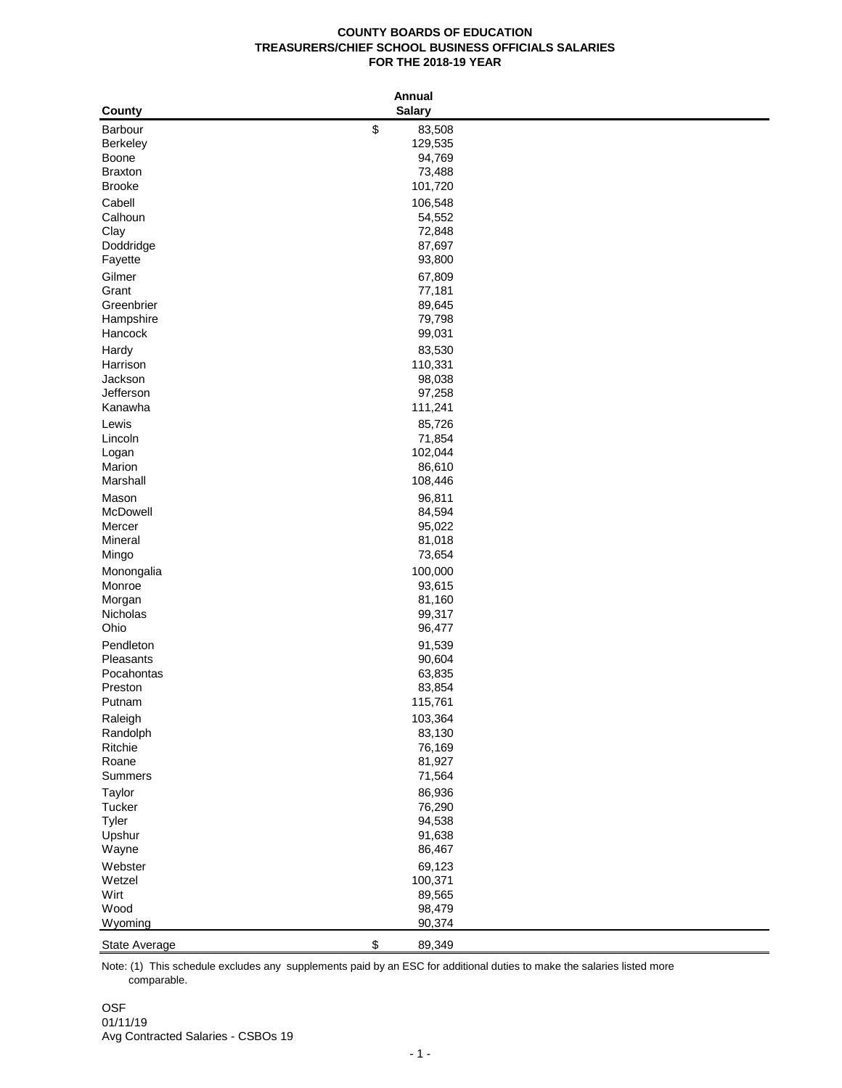## **COUNTY BOARDS OF EDUCATION TREASURERS/CHIEF SCHOOL BUSINESS OFFICIALS SALARIES FOR THE 2018-19 YEAR**

|                      | <b>Annual</b>     |  |
|----------------------|-------------------|--|
| County               | <b>Salary</b>     |  |
| Barbour              | \$<br>83,508      |  |
| Berkeley             | 129,535           |  |
| Boone                | 94,769            |  |
| <b>Braxton</b>       | 73,488            |  |
| <b>Brooke</b>        | 101,720           |  |
| Cabell               | 106,548           |  |
| Calhoun              | 54,552            |  |
| Clay                 | 72,848            |  |
| Doddridge<br>Fayette | 87,697<br>93,800  |  |
|                      |                   |  |
| Gilmer<br>Grant      | 67,809<br>77,181  |  |
| Greenbrier           | 89,645            |  |
| Hampshire            | 79,798            |  |
| Hancock              | 99,031            |  |
| Hardy                | 83,530            |  |
| Harrison             | 110,331           |  |
| Jackson              | 98,038            |  |
| Jefferson            | 97,258            |  |
| Kanawha              | 111,241           |  |
| Lewis                | 85,726            |  |
| Lincoln              | 71,854            |  |
| Logan                | 102,044           |  |
| Marion               | 86,610            |  |
| Marshall             | 108,446           |  |
| Mason                | 96,811            |  |
| McDowell             | 84,594            |  |
| Mercer               | 95,022            |  |
| Mineral<br>Mingo     | 81,018<br>73,654  |  |
|                      |                   |  |
| Monongalia<br>Monroe | 100,000<br>93,615 |  |
| Morgan               | 81,160            |  |
| Nicholas             | 99,317            |  |
| Ohio                 | 96,477            |  |
| Pendleton            | 91,539            |  |
| Pleasants            | 90,604            |  |
| Pocahontas           | 63,835            |  |
| Preston              | 83,854            |  |
| Putnam               | 115,761           |  |
| Raleigh              | 103,364           |  |
| Randolph             | 83,130            |  |
| Ritchie              | 76,169            |  |
| Roane                | 81,927            |  |
| Summers              | 71,564            |  |
| Taylor               | 86,936            |  |
| Tucker               | 76,290            |  |
| Tyler<br>Upshur      | 94,538<br>91,638  |  |
| Wayne                | 86,467            |  |
| Webster              |                   |  |
| Wetzel               | 69,123<br>100,371 |  |
| Wirt                 | 89,565            |  |
| Wood                 | 98,479            |  |
| Wyoming              | 90,374            |  |
| State Average        | \$<br>89,349      |  |

 comparable. Note: (1) This schedule excludes any supplements paid by an ESC for additional duties to make the salaries listed more